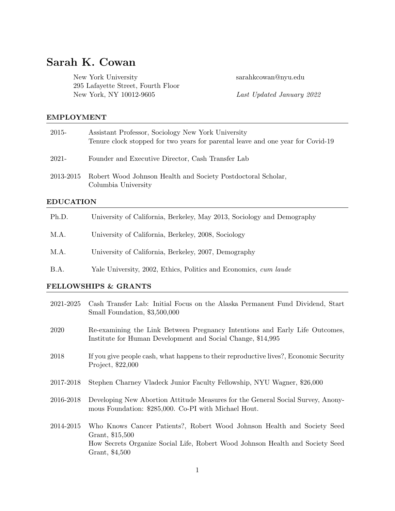# Sarah K. Cowan

New York University sarahkcowan@nyu.edu 295 Lafayette Street, Fourth Floor New York, NY 10012-9605 Last Updated January 2022

### EMPLOYMENT

| 2015-            | Assistant Professor, Sociology New York University<br>Tenure clock stopped for two years for parental leave and one year for Covid-19 |  |  |  |
|------------------|---------------------------------------------------------------------------------------------------------------------------------------|--|--|--|
| 2021-            | Founder and Executive Director, Cash Transfer Lab                                                                                     |  |  |  |
| 2013-2015        | Robert Wood Johnson Health and Society Postdoctoral Scholar,<br>Columbia University                                                   |  |  |  |
| <b>EDUCATION</b> |                                                                                                                                       |  |  |  |
| Ph.D.            | University of California, Berkeley, May 2013, Sociology and Demography                                                                |  |  |  |

- M.A. University of California, Berkeley, 2008, Sociology
- M.A. University of California, Berkeley, 2007, Demography
- B.A. Yale University, 2002, Ethics, Politics and Economics, cum laude

## FELLOWSHIPS & GRANTS

| 2021-2025 | Cash Transfer Lab: Initial Focus on the Alaska Permanent Fund Dividend, Start<br>Small Foundation, \$3,500,000                                                                                |
|-----------|-----------------------------------------------------------------------------------------------------------------------------------------------------------------------------------------------|
| 2020      | Re-examining the Link Between Pregnancy Intentions and Early Life Outcomes,<br>Institute for Human Development and Social Change, \$14,995                                                    |
| 2018      | If you give people cash, what happens to their reproductive lives?, Economic Security<br>Project, \$22,000                                                                                    |
| 2017-2018 | Stephen Charney Vladeck Junior Faculty Fellowship, NYU Wagner, \$26,000                                                                                                                       |
| 2016-2018 | Developing New Abortion Attitude Measures for the General Social Survey, Anony-<br>mous Foundation: \$285,000. Co-PI with Michael Hout.                                                       |
| 2014-2015 | Who Knows Cancer Patients?, Robert Wood Johnson Health and Society Seed<br>Grant, \$15,500<br>How Secrets Organize Social Life, Robert Wood Johnson Health and Society Seed<br>Grant, \$4,500 |
|           |                                                                                                                                                                                               |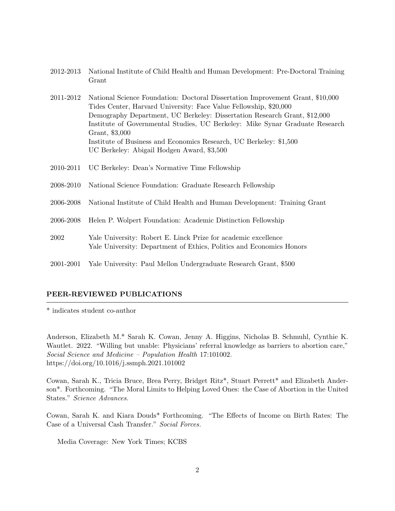- 2012-2013 National Institute of Child Health and Human Development: Pre-Doctoral Training Grant
- 2011-2012 National Science Foundation: Doctoral Dissertation Improvement Grant, \$10,000 Tides Center, Harvard University: Face Value Fellowship, \$20,000 Demography Department, UC Berkeley: Dissertation Research Grant, \$12,000 Institute of Governmental Studies, UC Berkeley: Mike Synar Graduate Research Grant, \$3,000 Institute of Business and Economics Research, UC Berkeley: \$1,500 UC Berkeley: Abigail Hodgen Award, \$3,500
- 2010-2011 UC Berkeley: Dean's Normative Time Fellowship
- 2008-2010 National Science Foundation: Graduate Research Fellowship
- 2006-2008 National Institute of Child Health and Human Development: Training Grant
- 2006-2008 Helen P. Wolpert Foundation: Academic Distinction Fellowship
- 2002 Yale University: Robert E. Linck Prize for academic excellence Yale University: Department of Ethics, Politics and Economics Honors
- 2001-2001 Yale University: Paul Mellon Undergraduate Research Grant, \$500

#### PEER-REVIEWED PUBLICATIONS

\* indicates student co-author

Anderson, Elizabeth M.\* Sarah K. Cowan, Jenny A. Higgins, Nicholas B. Schmuhl, Cynthie K. Wautlet. 2022. "Willing but unable: Physicians' referral knowledge as barriers to abortion care," Social Science and Medicine – Population Health 17:101002. https://doi.org/10.1016/j.ssmph.2021.101002

Cowan, Sarah K., Tricia Bruce, Brea Perry, Bridget Ritz\*, Stuart Perrett\* and Elizabeth Anderson\*. Forthcoming. "The Moral Limits to Helping Loved Ones: the Case of Abortion in the United States." Science Advances.

Cowan, Sarah K. and Kiara Douds\* Forthcoming. "The Effects of Income on Birth Rates: The Case of a Universal Cash Transfer." Social Forces.

Media Coverage: New York Times; KCBS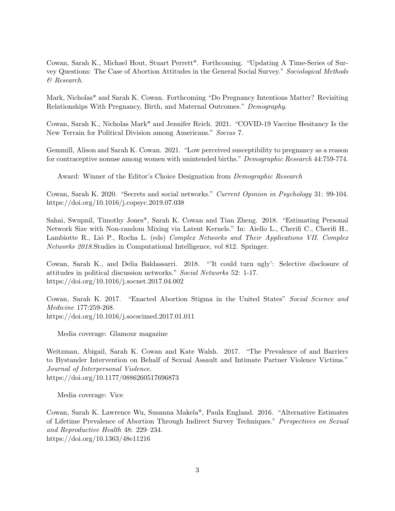Cowan, Sarah K., Michael Hout, Stuart Perrett\*. Forthcoming. "Updating A Time-Series of Survey Questions: The Case of Abortion Attitudes in the General Social Survey." Sociological Methods & Research.

Mark, Nicholas\* and Sarah K. Cowan. Forthcoming "Do Pregnancy Intentions Matter? Revisiting Relationships With Pregnancy, Birth, and Maternal Outcomes." Demography.

Cowan, Sarah K., Nicholas Mark\* and Jennifer Reich. 2021. "COVID-19 Vaccine Hesitancy Is the New Terrain for Political Division among Americans." Socius 7.

Gemmill, Alison and Sarah K. Cowan. 2021. "Low perceived susceptibility to pregnancy as a reason for contraceptive nonuse among women with unintended births." Demographic Research 44:759-774.

Award: Winner of the Editor's Choice Designation from Demographic Research

Cowan, Sarah K. 2020. "Secrets and social networks." Current Opinion in Psychology 31: 99-104. https://doi.org/10.1016/j.copsyc.2019.07.038

Sahai, Swupnil, Timothy Jones\*, Sarah K. Cowan and Tian Zheng. 2018. "Estimating Personal Network Size with Non-random Mixing via Latent Kernels." In: Aiello L., Cherifi C., Cherifi H., Lambiotte R., Lió P., Rocha L. (eds) Complex Networks and Their Applications VII. Complex Networks 2018.Studies in Computational Intelligence, vol 812. Springer.

Cowan, Sarah K., and Delia Baldassarri. 2018. "'It could turn ugly': Selective disclosure of attitudes in political discussion networks." Social Networks 52: 1-17. https://doi.org/10.1016/j.socnet.2017.04.002

Cowan, Sarah K. 2017. "Enacted Abortion Stigma in the United States" Social Science and Medicine 177:259-268. https://doi.org/10.1016/j.socscimed.2017.01.011

Media coverage: Glamour magazine

Weitzman, Abigail, Sarah K. Cowan and Kate Walsh. 2017. "The Prevalence of and Barriers to Bystander Intervention on Behalf of Sexual Assault and Intimate Partner Violence Victims." Journal of Interpersonal Violence. https://doi.org/10.1177/0886260517696873

Media coverage: Vice

Cowan, Sarah K. Lawrence Wu, Susanna Makela\*, Paula England. 2016. "Alternative Estimates of Lifetime Prevalence of Abortion Through Indirect Survey Techniques." Perspectives on Sexual and Reproductive Health 48: 229–234. https://doi.org/10.1363/48e11216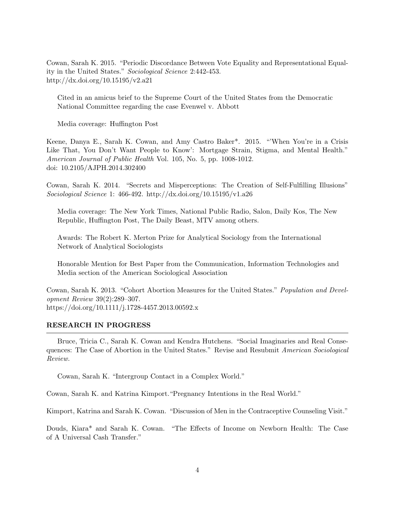Cowan, Sarah K. 2015. "Periodic Discordance Between Vote Equality and Representational Equality in the United States." Sociological Science 2:442-453. http://dx.doi.org/10.15195/v2.a21

Cited in an amicus brief to the Supreme Court of the United States from the Democratic National Committee regarding the case Evenwel v. Abbott

Media coverage: Huffington Post

Keene, Danya E., Sarah K. Cowan, and Amy Castro Baker\*. 2015. "When You're in a Crisis Like That, You Don't Want People to Know': Mortgage Strain, Stigma, and Mental Health." American Journal of Public Health Vol. 105, No. 5, pp. 1008-1012. doi: 10.2105/AJPH.2014.302400

Cowan, Sarah K. 2014. "Secrets and Misperceptions: The Creation of Self-Fulfilling Illusions" Sociological Science 1: 466-492. http://dx.doi.org/10.15195/v1.a26

Media coverage: The New York Times, National Public Radio, Salon, Daily Kos, The New Republic, Huffington Post, The Daily Beast, MTV among others.

Awards: The Robert K. Merton Prize for Analytical Sociology from the International Network of Analytical Sociologists

Honorable Mention for Best Paper from the Communication, Information Technologies and Media section of the American Sociological Association

Cowan, Sarah K. 2013. "Cohort Abortion Measures for the United States." Population and Development Review 39(2):289–307. https://doi.org/10.1111/j.1728-4457.2013.00592.x

#### RESEARCH IN PROGRESS

Bruce, Tricia C., Sarah K. Cowan and Kendra Hutchens. "Social Imaginaries and Real Consequences: The Case of Abortion in the United States." Revise and Resubmit American Sociological Review.

Cowan, Sarah K. "Intergroup Contact in a Complex World."

Cowan, Sarah K. and Katrina Kimport."Pregnancy Intentions in the Real World."

Kimport, Katrina and Sarah K. Cowan. "Discussion of Men in the Contraceptive Counseling Visit."

Douds, Kiara\* and Sarah K. Cowan. "The Effects of Income on Newborn Health: The Case of A Universal Cash Transfer."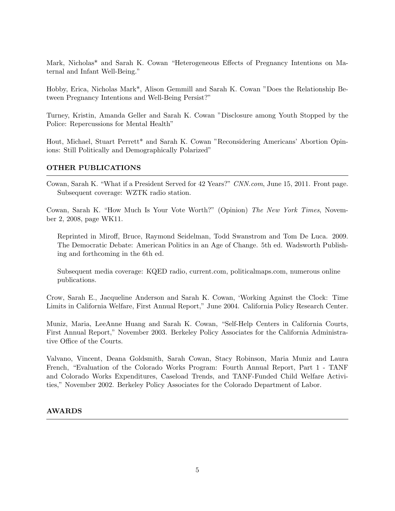Mark, Nicholas\* and Sarah K. Cowan "Heterogeneous Effects of Pregnancy Intentions on Maternal and Infant Well-Being."

Hobby, Erica, Nicholas Mark\*, Alison Gemmill and Sarah K. Cowan "Does the Relationship Between Pregnancy Intentions and Well-Being Persist?"

Turney, Kristin, Amanda Geller and Sarah K. Cowan "Disclosure among Youth Stopped by the Police: Repercussions for Mental Health"

Hout, Michael, Stuart Perrett\* and Sarah K. Cowan "Reconsidering Americans' Abortion Opinions: Still Politically and Demographically Polarized"

## OTHER PUBLICATIONS

Cowan, Sarah K. "What if a President Served for 42 Years?" CNN.com, June 15, 2011. Front page. Subsequent coverage: WZTK radio station.

Cowan, Sarah K. "How Much Is Your Vote Worth?" (Opinion) The New York Times, November 2, 2008, page WK11.

Reprinted in Miroff, Bruce, Raymond Seidelman, Todd Swanstrom and Tom De Luca. 2009. The Democratic Debate: American Politics in an Age of Change. 5th ed. Wadsworth Publishing and forthcoming in the 6th ed.

Subsequent media coverage: KQED radio, current.com, politicalmaps.com, numerous online publications.

Crow, Sarah E., Jacqueline Anderson and Sarah K. Cowan, 'Working Against the Clock: Time Limits in California Welfare, First Annual Report," June 2004. California Policy Research Center.

Muniz, Maria, LeeAnne Huang and Sarah K. Cowan, "Self-Help Centers in California Courts, First Annual Report," November 2003. Berkeley Policy Associates for the California Administrative Office of the Courts.

Valvano, Vincent, Deana Goldsmith, Sarah Cowan, Stacy Robinson, Maria Muniz and Laura French, "Evaluation of the Colorado Works Program: Fourth Annual Report, Part 1 - TANF and Colorado Works Expenditures, Caseload Trends, and TANF-Funded Child Welfare Activities," November 2002. Berkeley Policy Associates for the Colorado Department of Labor.

### AWARDS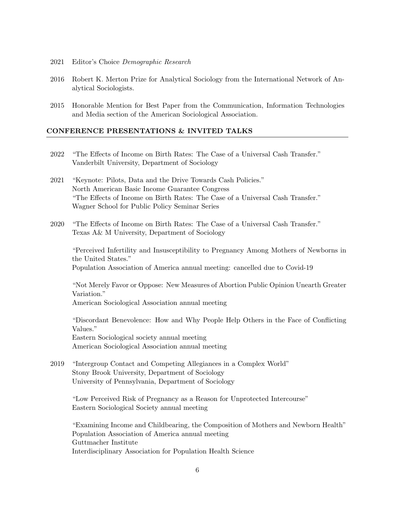- 2021 Editor's Choice Demographic Research
- 2016 Robert K. Merton Prize for Analytical Sociology from the International Network of Analytical Sociologists.
- 2015 Honorable Mention for Best Paper from the Communication, Information Technologies and Media section of the American Sociological Association.

#### CONFERENCE PRESENTATIONS & INVITED TALKS

- 2022 "The Effects of Income on Birth Rates: The Case of a Universal Cash Transfer." Vanderbilt University, Department of Sociology
- 2021 "Keynote: Pilots, Data and the Drive Towards Cash Policies." North American Basic Income Guarantee Congress "The Effects of Income on Birth Rates: The Case of a Universal Cash Transfer." Wagner School for Public Policy Seminar Series
- 2020 "The Effects of Income on Birth Rates: The Case of a Universal Cash Transfer." Texas A& M University, Department of Sociology

"Perceived Infertility and Insusceptibility to Pregnancy Among Mothers of Newborns in the United States." Population Association of America annual meeting: cancelled due to Covid-19

"Not Merely Favor or Oppose: New Measures of Abortion Public Opinion Unearth Greater Variation."

American Sociological Association annual meeting

"Discordant Benevolence: How and Why People Help Others in the Face of Conflicting Values."

Eastern Sociological society annual meeting American Sociological Association annual meeting

2019 "Intergroup Contact and Competing Allegiances in a Complex World" Stony Brook University, Department of Sociology University of Pennsylvania, Department of Sociology

"Low Perceived Risk of Pregnancy as a Reason for Unprotected Intercourse" Eastern Sociological Society annual meeting

"Examining Income and Childbearing, the Composition of Mothers and Newborn Health" Population Association of America annual meeting Guttmacher Institute Interdisciplinary Association for Population Health Science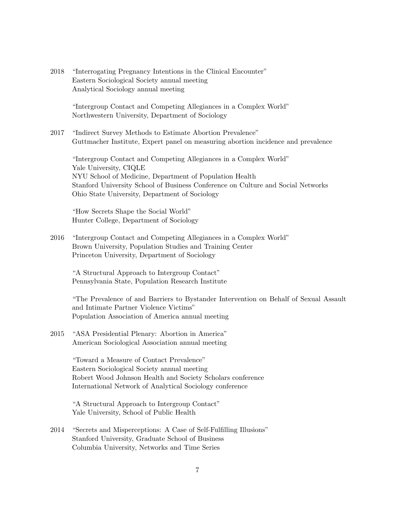2018 "Interrogating Pregnancy Intentions in the Clinical Encounter" Eastern Sociological Society annual meeting Analytical Sociology annual meeting

> "Intergroup Contact and Competing Allegiances in a Complex World" Northwestern University, Department of Sociology

2017 "Indirect Survey Methods to Estimate Abortion Prevalence" Guttmacher Institute, Expert panel on measuring abortion incidence and prevalence

"Intergroup Contact and Competing Allegiances in a Complex World" Yale University, CIQLE NYU School of Medicine, Department of Population Health Stanford University School of Business Conference on Culture and Social Networks Ohio State University, Department of Sociology

"How Secrets Shape the Social World" Hunter College, Department of Sociology

2016 "Intergroup Contact and Competing Allegiances in a Complex World" Brown University, Population Studies and Training Center Princeton University, Department of Sociology

"A Structural Approach to Intergroup Contact" Pennsylvania State, Population Research Institute

"The Prevalence of and Barriers to Bystander Intervention on Behalf of Sexual Assault and Intimate Partner Violence Victims" Population Association of America annual meeting

2015 "ASA Presidential Plenary: Abortion in America" American Sociological Association annual meeting

> "Toward a Measure of Contact Prevalence" Eastern Sociological Society annual meeting Robert Wood Johnson Health and Society Scholars conference International Network of Analytical Sociology conference

"A Structural Approach to Intergroup Contact" Yale University, School of Public Health

2014 "Secrets and Misperceptions: A Case of Self-Fulfilling Illusions" Stanford University, Graduate School of Business Columbia University, Networks and Time Series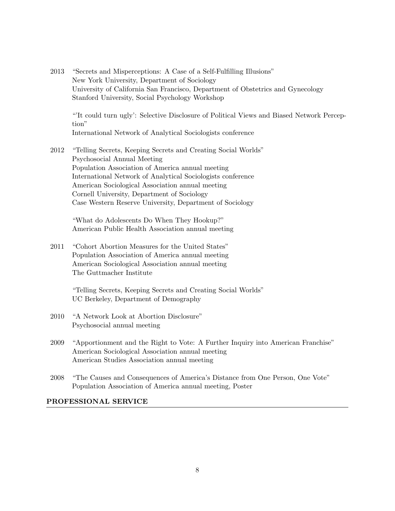2013 "Secrets and Misperceptions: A Case of a Self-Fulfilling Illusions" New York University, Department of Sociology University of California San Francisco, Department of Obstetrics and Gynecology Stanford University, Social Psychology Workshop

"'It could turn ugly': Selective Disclosure of Political Views and Biased Network Perception"

- International Network of Analytical Sociologists conference
- 2012 "Telling Secrets, Keeping Secrets and Creating Social Worlds" Psychosocial Annual Meeting Population Association of America annual meeting International Network of Analytical Sociologists conference American Sociological Association annual meeting Cornell University, Department of Sociology Case Western Reserve University, Department of Sociology

"What do Adolescents Do When They Hookup?" American Public Health Association annual meeting

2011 "Cohort Abortion Measures for the United States" Population Association of America annual meeting American Sociological Association annual meeting The Guttmacher Institute

> "Telling Secrets, Keeping Secrets and Creating Social Worlds" UC Berkeley, Department of Demography

- 2010 "A Network Look at Abortion Disclosure" Psychosocial annual meeting
- 2009 "Apportionment and the Right to Vote: A Further Inquiry into American Franchise" American Sociological Association annual meeting American Studies Association annual meeting
- 2008 "The Causes and Consequences of America's Distance from One Person, One Vote" Population Association of America annual meeting, Poster

# PROFESSIONAL SERVICE